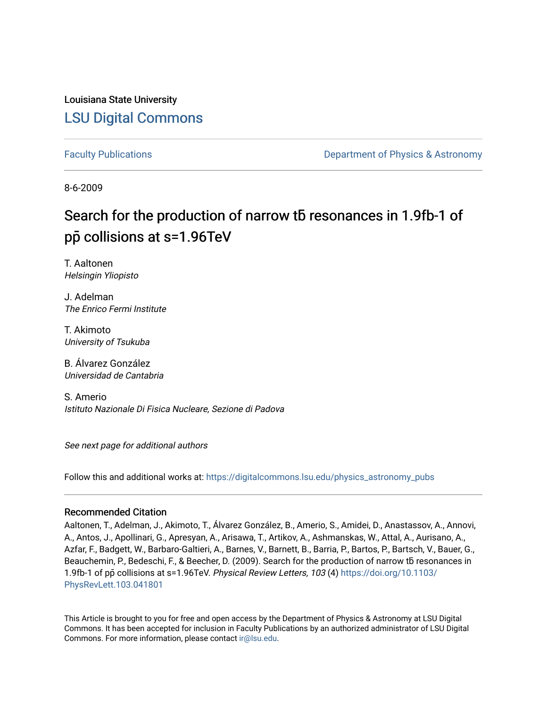Louisiana State University [LSU Digital Commons](https://digitalcommons.lsu.edu/)

[Faculty Publications](https://digitalcommons.lsu.edu/physics_astronomy_pubs) **Exercise 2 and Table 2 and Table 2 and Table 2 and Table 2 and Table 2 and Table 2 and Table 2 and Table 2 and Table 2 and Table 2 and Table 2 and Table 2 and Table 2 and Table 2 and Table 2 and Table** 

8-6-2009

# Search for the production of narrow tb resonances in 1.9fb-1 of pp**̄** collisions at s=1.96TeV

T. Aaltonen Helsingin Yliopisto

J. Adelman The Enrico Fermi Institute

T. Akimoto University of Tsukuba

B. Álvarez González Universidad de Cantabria

S. Amerio Istituto Nazionale Di Fisica Nucleare, Sezione di Padova

See next page for additional authors

Follow this and additional works at: [https://digitalcommons.lsu.edu/physics\\_astronomy\\_pubs](https://digitalcommons.lsu.edu/physics_astronomy_pubs?utm_source=digitalcommons.lsu.edu%2Fphysics_astronomy_pubs%2F2442&utm_medium=PDF&utm_campaign=PDFCoverPages) 

#### Recommended Citation

Aaltonen, T., Adelman, J., Akimoto, T., Álvarez González, B., Amerio, S., Amidei, D., Anastassov, A., Annovi, A., Antos, J., Apollinari, G., Apresyan, A., Arisawa, T., Artikov, A., Ashmanskas, W., Attal, A., Aurisano, A., Azfar, F., Badgett, W., Barbaro-Galtieri, A., Barnes, V., Barnett, B., Barria, P., Bartos, P., Bartsch, V., Bauer, G., Beauchemin, P., Bedeschi, F., & Beecher, D. (2009). Search for the production of narrow tb resonances in 1.9fb-1 of pp̄ collisions at s=1.96TeV. Physical Review Letters, 103 (4) [https://doi.org/10.1103/](https://doi.org/10.1103/PhysRevLett.103.041801) [PhysRevLett.103.041801](https://doi.org/10.1103/PhysRevLett.103.041801) 

This Article is brought to you for free and open access by the Department of Physics & Astronomy at LSU Digital Commons. It has been accepted for inclusion in Faculty Publications by an authorized administrator of LSU Digital Commons. For more information, please contact [ir@lsu.edu](mailto:ir@lsu.edu).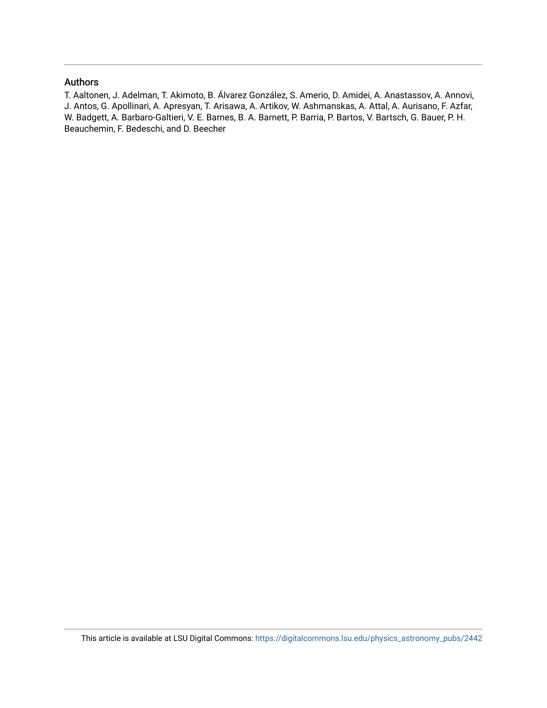### Authors

T. Aaltonen, J. Adelman, T. Akimoto, B. Álvarez González, S. Amerio, D. Amidei, A. Anastassov, A. Annovi, J. Antos, G. Apollinari, A. Apresyan, T. Arisawa, A. Artikov, W. Ashmanskas, A. Attal, A. Aurisano, F. Azfar, W. Badgett, A. Barbaro-Galtieri, V. E. Barnes, B. A. Barnett, P. Barria, P. Bartos, V. Bartsch, G. Bauer, P. H. Beauchemin, F. Bedeschi, and D. Beecher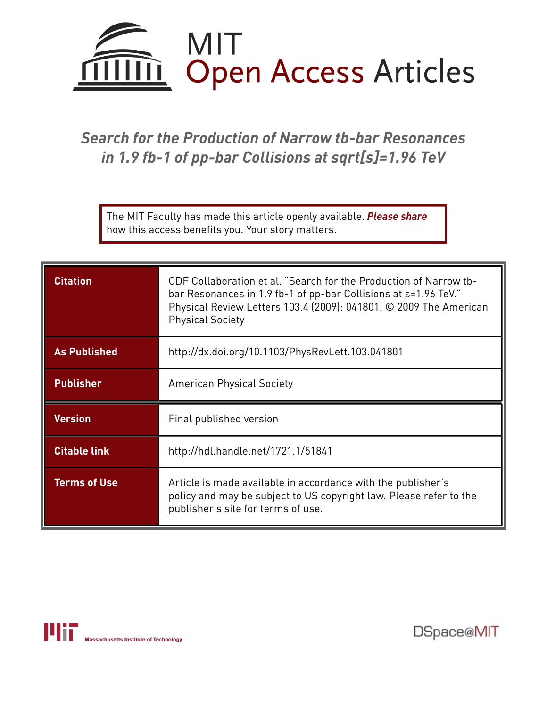

## *Search for the Production of Narrow tb-bar Resonances in 1.9 fb-1 of pp-bar Collisions at sqrt[s]=1.96 TeV*

The MIT Faculty has made this article openly available. *[Please](https://libraries.mit.edu/forms/dspace-oa-articles.html) share* how this access benefits you. Your story matters.

| <b>Citation</b>     | CDF Collaboration et al. "Search for the Production of Narrow tb-<br>bar Resonances in 1.9 fb-1 of pp-bar Collisions at s=1.96 TeV."<br>Physical Review Letters 103.4 (2009): 041801. © 2009 The American<br><b>Physical Society</b> |
|---------------------|--------------------------------------------------------------------------------------------------------------------------------------------------------------------------------------------------------------------------------------|
| <b>As Published</b> | http://dx.doi.org/10.1103/PhysRevLett.103.041801                                                                                                                                                                                     |
| <b>Publisher</b>    | <b>American Physical Society</b>                                                                                                                                                                                                     |
| <b>Version</b>      | Final published version                                                                                                                                                                                                              |
| <b>Citable link</b> | http://hdl.handle.net/1721.1/51841                                                                                                                                                                                                   |
| <b>Terms of Use</b> | Article is made available in accordance with the publisher's<br>policy and may be subject to US copyright law. Please refer to the<br>publisher's site for terms of use.                                                             |



DSpace@MIT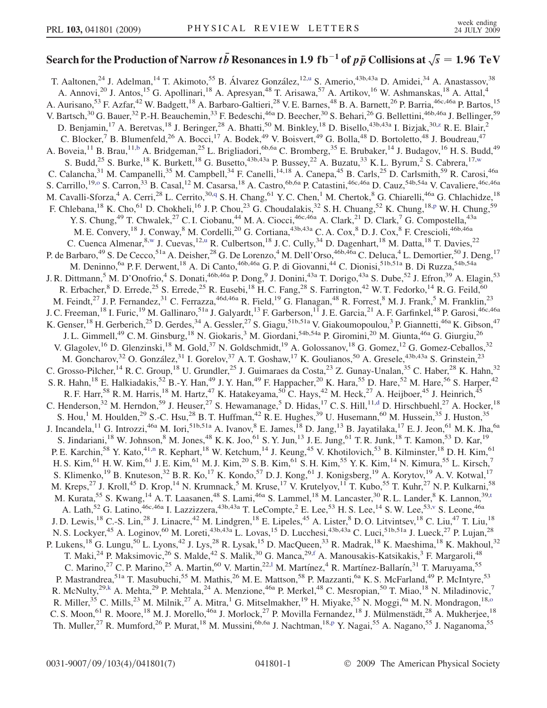# Search for the Production of Narrow  $t \bar{b}$  Resonances in 1.9 <code>fb $^{-1}$ </code> of  $p \bar{p}$  Collisions at  $\sqrt{s} = 1.96\;\text{TeV}$

<span id="page-3-12"></span><span id="page-3-11"></span><span id="page-3-10"></span><span id="page-3-9"></span><span id="page-3-8"></span><span id="page-3-7"></span><span id="page-3-6"></span><span id="page-3-5"></span><span id="page-3-4"></span><span id="page-3-3"></span><span id="page-3-2"></span><span id="page-3-1"></span><span id="page-3-0"></span>T. Aaltonen,<s[u](#page-9-0)p>24</sup> J. Adelman,<sup>14</sup> T. Akimoto,<sup>55</sup> B. Álvarez González,<sup>12,u</sup> S. Amerio,<sup>43b,43a</sup> D. Amidei,<sup>34</sup> A. Anastassov,<sup>38</sup> A. Annovi,<sup>20</sup> J. Antos,<sup>15</sup> G. Apollinari,<sup>18</sup> A. Apresyan,<sup>48</sup> T. Arisawa,<sup>57</sup> A. Artikov,<sup>16</sup> W. Ashmanskas,<sup>18</sup> A. Attal,<sup>4</sup> A. Aurisano,<sup>53</sup> F. Azfar,<sup>42</sup> W. Badgett,<sup>18</sup> A. Barbaro-Galtieri,<sup>28</sup> V. E. Barnes,<sup>48</sup> B. A. Barnett,<sup>26</sup> P. Barria,<sup>46c,46a</sup> P. Bartos,<sup>15</sup> V. Bartsch,<sup>30</sup> G. Bauer,<sup>32</sup> P.-H. Beauchemin,<sup>33</sup> F. Bedeschi,<sup>46a</sup> D. Beecher,<sup>30</sup> S. Behari,<sup>26</sup> G. Bellettini,<sup>46b,46a</sup> J. Bellinger,<sup>59</sup> D. Benjamin,<sup>17</sup> A. Beretvas,<sup>18</sup> J. Beringer,<sup>28</sup> A. Bhatti,<sup>50</sup> M. Binkley,<sup>18</sup> D. Bisello,<sup>43b,43a</sup> I. Bizjak,<sup>30[,z](#page-9-1)</sup> R. E. Blair,<sup>2</sup> C. Blocker,<sup>7</sup> B. Blumenfeld,<sup>26</sup> A. Bocci,<sup>17</sup> A. Bodek,<sup>49</sup> V. Boisvert,<sup>49</sup> G. Bolla,<sup>48</sup> D. Bortoletto,<sup>48</sup> J. Boudreau,<sup>47</sup> A. Boveia,<sup>11</sup> B. Brau,<sup>11,[b](#page-9-2)</sup> A. Bridgeman,<sup>25</sup> L. Brigliadori,<sup>6b,6a</sup> C. Bromberg,<sup>35</sup> E. Brubaker,<sup>14</sup> J. Budagov,<sup>16</sup> H. S. Budd,<sup>49</sup> S. Budd,<sup>25</sup> S. Burke,<sup>18</sup> K. Burkett,<sup>18</sup> G. Busetto,<sup>43b,43a</sup> P. Bussey,<sup>22</sup> A. Buzatu,<sup>33</sup> K. L. Byrum,<sup>2</sup> S. Cabrera,<sup>17,[w](#page-9-3)</sup> C. Calancha,<sup>31</sup> M. Campanelli,<sup>35</sup> M. Campbell,<sup>34</sup> F. Canelli,<sup>14,18</sup> A. Canepa,<sup>45</sup> B. Carls,<sup>25</sup> D. Carlsmith,<sup>59</sup> R. Carosi,<sup>46a</sup> S. Carrillo,<sup>19[,o](#page-9-4)</sup> S. Carron,<sup>33</sup> B. Casal,<sup>12</sup> M. Casarsa,<sup>18</sup> A. Castro,<sup>6b,6a</sup> P. Catastini,<sup>46c,46a</sup> D. Cauz,<sup>54b,54a</sup> V. Cavaliere,<sup>46c,46a</sup> M. Cavalli-Sforza,<sup>4</sup> A. Cerri,<sup>28</sup> L. Cerrito,<sup>30[,q](#page-9-5)</sup> S. H. Chang,<sup>61</sup> Y. C. Chen,<sup>1</sup> M. Chertok,<sup>8</sup> G. Chiarelli,<sup>46a</sup> G. Chlachidze,<sup>18</sup> F. Chlebana,<su[p](#page-9-6)>18</sup> K. Cho,<sup>61</sup> D. Chokheli,<sup>16</sup> J. P. Chou,<sup>23</sup> G. Choudalakis,<sup>32</sup> S. H. Chuang,<sup>52</sup> K. Chung,<sup>18,p</sup> W. H. Chung,<sup>59</sup> Y. S. Chung,<sup>49</sup> T. Chwalek,<sup>27</sup> C. I. Ciobanu,<sup>44</sup> M. A. Ciocci,<sup>46c,46a</sup> A. Clark,<sup>21</sup> D. Clark,<sup>7</sup> G. Compostella,<sup>43a</sup> M. E. Convery, <sup>18</sup> J. Conway, <sup>8</sup> M. Cordelli, <sup>20</sup> G. Cortiana, <sup>43b, 43a</sup> C. A. Cox, <sup>8</sup> D. J. Cox, <sup>8</sup> F. Crescioli, <sup>46b, 46a</sup> C. Cuenca Almenar,<sup>8[,w](#page-9-3)</sup> J. Cuevas,<sup>12[,u](#page-9-0)</sup> R. Culbertson,<sup>18</sup> J. C. Cully,<sup>34</sup> D. Dagenhart,<sup>18</sup> M. Datta,<sup>18</sup> T. Davies,<sup>22</sup> P. de Barbaro,<sup>49</sup> S. De Cecco,<sup>51a</sup> A. Deisher,<sup>28</sup> G. De Lorenzo,<sup>4</sup> M. Dell'Orso,<sup>46b,46a</sup> C. Deluca,<sup>4</sup> L. Demortier,<sup>50</sup> J. Deng,<sup>17</sup> M. Deninno, <sup>6a</sup> P. F. Derwent, <sup>18</sup> A. Di Canto, <sup>46b, 46a</sup> G. P. di Giovanni, <sup>44</sup> C. Dionisi, <sup>51b, 51a</sup> B. Di Ruzza, <sup>54b, 54a</sup> J. R. Dittmann,<sup>5</sup> M. D'Onofrio,<sup>4</sup> S. Donati,<sup>46b,46a</sup> P. Dong,<sup>9</sup> J. Donini,<sup>43a</sup> T. Dorigo,<sup>43a</sup> S. Dube,<sup>52</sup> J. Efron,<sup>39</sup> A. Elagin,<sup>53</sup> R. Erbacher,  $8$  D. Errede,  $25$  S. Errede,  $25$  R. Eusebi,  $^{18}$  H. C. Fang,  $^{28}$  S. Farrington,  $^{42}$  W. T. Fedorko,  $^{14}$  R. G. Feild,  $^{60}$ M. Feindt,<sup>27</sup> J. P. Fernandez,<sup>31</sup> C. Ferrazza,<sup>46d,46a</sup> R. Field,<sup>19</sup> G. Flanagan,<sup>48</sup> R. Forrest,<sup>8</sup> M. J. Frank,<sup>5</sup> M. Franklin,<sup>23</sup> J. C. Freeman, <sup>18</sup> I. Furic, <sup>19</sup> M. Gallinaro, <sup>51a</sup> J. Galyardt, <sup>13</sup> F. Garberson, <sup>11</sup> J. E. Garcia, <sup>21</sup> A. F. Garfinkel, <sup>48</sup> P. Garosi, <sup>46c, 46a</sup> K. Genser,<sup>18</sup> H. Gerberich,<sup>25</sup> D. Gerdes,<sup>34</sup> A. Gessler,<sup>27</sup> S. Giagu,<sup>51b,51a</sup> V. Giakoumopoulou,<sup>3</sup> P. Giannetti,<sup>46a</sup> K. Gibson,<sup>47</sup> J. L. Gimmell,<sup>49</sup> C. M. Ginsburg,<sup>18</sup> N. Giokaris,<sup>3</sup> M. Giordani,<sup>54b,54a</sup> P. Giromini,<sup>20</sup> M. Giunta,<sup>46a</sup> G. Giurgiu,<sup>26</sup> V. Glagolev,<sup>16</sup> D. Glenzinski,<sup>18</sup> M. Gold,<sup>37</sup> N. Goldschmidt,<sup>19</sup> A. Golossanov,<sup>18</sup> G. Gomez,<sup>12</sup> G. Gomez-Ceballos,<sup>32</sup> M. Goncharov,<sup>32</sup> O. González,<sup>31</sup> I. Gorelov,<sup>37</sup> A. T. Goshaw,<sup>17</sup> K. Goulianos,<sup>50</sup> A. Gresele,<sup>43b,43a</sup> S. Grinstein,<sup>23</sup> C. Grosso-Pilcher,<sup>14</sup> R. C. Group,<sup>18</sup> U. Grundler,<sup>25</sup> J. Guimaraes da Costa,<sup>23</sup> Z. Gunay-Unalan,<sup>35</sup> C. Haber,<sup>28</sup> K. Hahn,<sup>32</sup> S. R. Hahn,<sup>18</sup> E. Halkiadakis,<sup>52</sup> B.-Y. Han,<sup>49</sup> J. Y. Han,<sup>49</sup> F. Happacher,<sup>20</sup> K. Hara,<sup>55</sup> D. Hare,<sup>52</sup> M. Hare,<sup>56</sup> S. Harper,<sup>42</sup> R. F. Harr,<sup>58</sup> R. M. Harris,<sup>18</sup> M. Hartz,<sup>47</sup> K. Hatakeyama,<sup>50</sup> C. Hays,<sup>42</sup> M. Heck,<sup>27</sup> A. Heijboer,<sup>45</sup> J. Heinrich,<sup>45</sup> C. Henderson,<sup>32</sup> M. Herndon,<sup>59</sup> J. Heuser,<sup>27</sup> S. Hewamanage,<sup>5</sup> D. Hidas,<sup>17</sup> C. S. Hill,<sup>11[,d](#page-9-7)</sup> D. Hirschbuehl,<sup>27</sup> A. Hocker,<sup>18</sup> S. Hou,<sup>1</sup> M. Houlden,<sup>29</sup> S.-C. Hsu,<sup>28</sup> B. T. Huffman,<sup>42</sup> R. E. Hughes,<sup>39</sup> U. Husemann,<sup>60</sup> M. Hussein,<sup>35</sup> J. Huston,<sup>35</sup> J. Incandela,<sup>11</sup> G. Introzzi,<sup>46a</sup> M. Iori,<sup>51b,51a</sup> A. Ivanov,<sup>8</sup> E. James,<sup>18</sup> D. Jang,<sup>13</sup> B. Jayatilaka,<sup>17</sup> E. J. Jeon,<sup>61</sup> M. K. Jha,<sup>6a</sup> S. Jindariani,<sup>18</sup> W. Johnson,<sup>8</sup> M. Jones,<sup>48</sup> K. K. Joo,<sup>61</sup> S. Y. Jun,<sup>13</sup> J. E. Jung,<sup>61</sup> T. R. Junk,<sup>18</sup> T. Kamon,<sup>53</sup> D. Kar,<sup>19</sup> P. E. Karchi[n](#page-9-8),<sup>58</sup> Y. Kato,<sup>41,n</sup> R. Kephart,<sup>18</sup> W. Ketchum,<sup>14</sup> J. Keung,<sup>45</sup> V. Khotilovich,<sup>53</sup> B. Kilminster,<sup>18</sup> D. H. Kim,<sup>61</sup> H. S. Kim,<sup>61</sup> H. W. Kim,<sup>61</sup> J. E. Kim,<sup>61</sup> M. J. Kim,<sup>20</sup> S. B. Kim,<sup>61</sup> S. H. Kim,<sup>55</sup> Y. K. Kim,<sup>14</sup> N. Kimura,<sup>55</sup> L. Kirsch,<sup>7</sup> S. Klimenko,<sup>19</sup> B. Knuteson,<sup>32</sup> B. R. Ko,<sup>17</sup> K. Kondo,<sup>57</sup> D. J. Kong,<sup>61</sup> J. Konigsberg,<sup>19</sup> A. Korytov,<sup>19</sup> A. V. Kotwal,<sup>17</sup> M. Kreps,<sup>27</sup> J. Kroll,<sup>45</sup> D. Krop,<sup>14</sup> N. Krumnack,<sup>5</sup> M. Kruse,<sup>17</sup> V. Krutelyov,<sup>11</sup> T. Kubo,<sup>55</sup> T. Kuhr,<sup>27</sup> N. P. Kulkarni,<sup>58</sup> M. Kura[t](#page-9-9)a,<sup>55</sup> S. Kwang,<sup>14</sup> A. T. Laasanen,<sup>48</sup> S. Lami,<sup>46a</sup> S. Lammel,<sup>18</sup> M. Lancaster,<sup>30</sup> R. L. Lander,<sup>8</sup> K. Lannon,<sup>39,t</sup> A. Lath,<sup>52</sup> G. Latino,<sup>46c,46a</sup> I. Lazzizzera,<sup>43b,43a</sup> T. LeCompte,<sup>2</sup> E. Lee,<sup>53</sup> H. S. Lee,<sup>14</sup> S. W. Lee,<sup>53,[v](#page-9-10)</sup> S. Leone,<sup>46a</sup> J. D. Lewis,<sup>18</sup> C.-S. Lin,<sup>28</sup> J. Linacre,<sup>42</sup> M. Lindgren,<sup>18</sup> E. Lipeles,<sup>45</sup> A. Lister,<sup>8</sup> D. O. Litvintsev,<sup>18</sup> C. Liu,<sup>47</sup> T. Liu,<sup>18</sup> N. S. Lockyer,<sup>45</sup> A. Loginov,<sup>60</sup> M. Loreti,<sup>43b,43a</sup> L. Lovas,<sup>15</sup> D. Lucchesi,<sup>43b,43a</sup> C. Luci,<sup>51b,51a</sup> J. Lueck,<sup>27</sup> P. Lujan,<sup>28</sup> P. Lukens,<sup>18</sup> G. Lungu,<sup>50</sup> L. Lyons,<sup>42</sup> J. Lys,<sup>28</sup> R. Lysak,<sup>15</sup> D. MacQueen,<sup>33</sup> R. Madrak,<sup>18</sup> K. Maeshima,<sup>18</sup> K. Makhoul,<sup>32</sup> T. Maki,<sup>24</sup> P. Maksimovic,<sup>26</sup> S. Malde,<sup>42</sup> S. Malik,<sup>30</sup> G. Manca,<sup>29,[f](#page-9-11)</sup> A. Manousakis-Katsikakis,<sup>3</sup> F. Margaroli,<sup>48</sup> C. Marino,<sup>27</sup> C. P. Marino,<sup>25</sup> A. Martin,<sup>60</sup> V. Martin,<sup>22,1</sup> M. Martínez,<sup>4</sup> R. Martínez-Ballarín,<sup>31</sup> T. Maruyama,<sup>55</sup> P. Mastrandrea,<sup>51a</sup> T. Masubuchi,<sup>55</sup> M. Mathis,<sup>26</sup> M. E. Mattson,<sup>58</sup> P. Mazzanti,<sup>6a</sup> K. S. McFarland,<sup>49</sup> P. McIntyre,<sup>53</sup> R. McNulty,<sup>29[,k](#page-9-13)</sup> A. Mehta,<sup>29</sup> P. Mehtala,<sup>24</sup> A. Menzione,<sup>46a</sup> P. Merkel,<sup>48</sup> C. Mesropian,<sup>50</sup> T. Miao,<sup>18</sup> N. Miladinovic,<sup>7</sup> R. Miller,<sup>35</sup> C. Mills,<sup>23</sup> M. Milnik,<sup>27</sup> A. Mitra,<sup>1</sup> G. Mitselmakher,<sup>19</sup> H. Miyake,<sup>55</sup> N. Moggi,<sup>6a</sup> M. N. Mondragon,<sup>18,0</sup> C. S. Moon,<sup>61</sup> R. Moore,<sup>18</sup> M. J. Morello,<sup>46a</sup> J. Morlock,<sup>27</sup> P. Movilla Fernandez,<sup>18</sup> J. Mülmenstädt,<sup>28</sup> A. Mukherjee,<sup>18</sup> Th. Muller,<su[p](#page-9-6)>27</sup> R. Mumford,<sup>26</sup> P. Murat,<sup>18</sup> M. Mussini,<sup>6b,6a</sup> J. Nachtman,<sup>18,p</sup> Y. Nagai,<sup>55</sup> A. Nagano,<sup>55</sup> J. Naganoma,<sup>55</sup>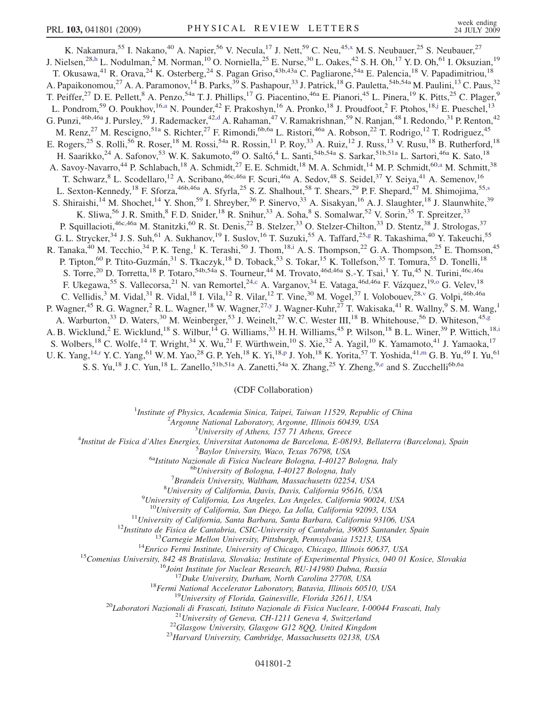<span id="page-4-9"></span><span id="page-4-8"></span><span id="page-4-6"></span><span id="page-4-4"></span><span id="page-4-0"></span>K. Nakamura,<sup>55</sup> I. Nakano,<sup>40</sup> A. Napier,<sup>56</sup> V. Necula,<sup>17</sup> J. Nett,<sup>59</sup> C. Neu,<sup>45[,x](#page-9-14)</sup> M. S. Neubauer,<sup>25</sup> S. Neubauer,<sup>27</sup> J. Nielsen,<sup>28,[h](#page-9-15)</sup> L. Nodulman,<sup>2</sup> M. Norman,<sup>10</sup> O. Norniella,<sup>25</sup> E. Nurse,<sup>30</sup> L. Oakes,<sup>42</sup> S. H. Oh,<sup>17</sup> Y. D. Oh,<sup>61</sup> I. Oksuzian,<sup>19</sup> T. Okusawa,<sup>41</sup> R. Orava,<sup>24</sup> K. Osterberg,<sup>24</sup> S. Pagan Griso,<sup>43b,43a</sup> C. Pagliarone,<sup>54a</sup> E. Palencia,<sup>18</sup> V. Papadimitriou,<sup>18</sup> A. Papaikonomou,<sup>27</sup> A. A. Paramonov,<sup>14</sup> B. Parks,<sup>39</sup> S. Pashapour,<sup>33</sup> J. Patrick,<sup>18</sup> G. Pauletta,<sup>54b,54a</sup> M. Paulini,<sup>13</sup> C. Paus,<sup>32</sup> T. Peiffer,<sup>27</sup> D. E. Pellett,<sup>8</sup> A. Penzo,<sup>54a</sup> T. J. Phillips,<sup>17</sup> G. Piacentino,<sup>46a</sup> E. Pianori,<sup>45</sup> L. Pinera,<sup>19</sup> K. Pitts,<sup>25</sup> C. Plager,<sup>9</sup> L. Pondrom,<sup>59</sup> O. Poukhov,<sup>16,[a](#page-9-16)</sup> N. Pounder,<sup>42</sup> F. Prakoshyn,<sup>16</sup> A. Pronko,<sup>18</sup> J. Proudfoot,<sup>2</sup> F. Ptohos,<sup>18[,j](#page-9-17)</sup> E. Pueschel,<sup>13</sup> G. Punzi,<sup>46b,46a</sup> J. Pursley,<sup>59</sup> J. Ra[d](#page-9-7)emacker,<sup>42,d</sup> A. Rahaman,<sup>47</sup> V. Ramakrishnan,<sup>59</sup> N. Ranjan,<sup>48</sup> I. Redondo,<sup>31</sup> P. Renton,<sup>42</sup> M. Renz,<sup>27</sup> M. Rescigno,<sup>51a</sup> S. Richter,<sup>27</sup> F. Rimondi,<sup>6b,6a</sup> L. Ristori,<sup>46a</sup> A. Robson,<sup>22</sup> T. Rodrigo,<sup>12</sup> T. Rodriguez,<sup>45</sup> E. Rogers,<sup>25</sup> S. Rolli,<sup>56</sup> R. Roser,<sup>18</sup> M. Rossi,<sup>54a</sup> R. Rossin,<sup>11</sup> P. Roy,<sup>33</sup> A. Ruiz,<sup>12</sup> J. Russ,<sup>13</sup> V. Rusu,<sup>18</sup> B. Rutherford,<sup>18</sup> H. Saarikko,<sup>24</sup> A. Safonov,<sup>53</sup> W. K. Sakumoto,<sup>49</sup> O. Saltó,<sup>4</sup> L. Santi,<sup>54b,54a</sup> S. Sarkar,<sup>51b,51a</sup> L. Sartori,<sup>46a</sup> K. Sato,<sup>18</sup> A. S[a](#page-9-16)voy-Navarro,<sup>44</sup> P. Schlabach,<sup>18</sup> A. Schmidt,<sup>27</sup> E. E. Schmidt,<sup>18</sup> M. A. Schmidt,<sup>14</sup> M. P. Schmidt,<sup>60,a</sup> M. Schmitt,<sup>38</sup> T. Schwarz,  $8$  L. Scodellaro,<sup>12</sup> A. Scribano,<sup>46c,46a</sup> F. Scuri,<sup>46a</sup> A. Sedov,<sup>48</sup> S. Seidel,<sup>37</sup> Y. Seiya,<sup>41</sup> A. Semenov,<sup>16</sup> L. Sexton-Kennedy,<[s](#page-9-18)up>18</sup> F. Sforza,<sup>46b,46a</sup> A. Sfyrla,<sup>25</sup> S. Z. Shalhout,<sup>58</sup> T. Shears,<sup>29</sup> P. F. Shepard,<sup>47</sup> M. Shimojima,<sup>55,s</sup> S. Shiraishi,<sup>14</sup> M. Shochet,<sup>14</sup> Y. Shon,<sup>59</sup> I. Shreyber,<sup>36</sup> P. Sinervo,<sup>33</sup> A. Sisakyan,<sup>16</sup> A. J. Slaughter,<sup>18</sup> J. Slaunwhite,<sup>39</sup> K. Sliwa,<sup>56</sup> J. R. Smith, ${}^{8}$  F. D. Snider,  ${}^{18}$  R. Snihur,  ${}^{33}$  A. Soha, ${}^{8}$  S. Somalwar,  ${}^{52}$  V. Sorin,  ${}^{35}$  T. Spreitzer,  ${}^{33}$ P. Squillacioti,<sup>46c,46a</sup> M. Stanitzki,<sup>60</sup> R. St. Denis,<sup>22</sup> B. Stelzer,<sup>33</sup> O. Stelzer-Chilton,<sup>33</sup> D. Stentz,<sup>38</sup> J. Strologas,<sup>37</sup> G. L. Strycker,  $34$  J. S. Suh,  $61$  A. Sukhanov,  $19$  I. Suslov,  $16$  T. Suzuki,  $55$  A. Taffard,  $25, g$  R. Takashima,  $40$  Y. Takeuchi,  $55$ R. Tanaka,<sup>40</sup> M. Tecch[i](#page-9-20)o,<sup>34</sup> P. K. Teng,<sup>1</sup> K. Terashi,<sup>50</sup> J. Thom,<sup>18,i</sup> A. S. Thompson,<sup>22</sup> G. A. Thompson,<sup>25</sup> E. Thomson,<sup>45</sup> P. Tipton,<sup>60</sup> P. Ttito-Guzmán,<sup>31</sup> S. Tkaczyk,<sup>18</sup> D. Toback,<sup>53</sup> S. Tokar,<sup>15</sup> K. Tollefson,<sup>35</sup> T. Tomura,<sup>55</sup> D. Tonelli,<sup>18</sup> S. Torre,<sup>20</sup> D. Torretta,<sup>18</sup> P. Totaro,<sup>54b,54a</sup> S. Tourneur,<sup>44</sup> M. Trovato,<sup>46d,46a</sup> S.-Y. Tsai,<sup>1</sup> Y. Tu,<sup>45</sup> N. Turini,<sup>46c,46a</sup> F. Ukegawa,<sup>55</sup> S. Vallecorsa,<sup>21</sup> N. van Remortel,<sup>24[,c](#page-9-21)</sup> A. Vargan[o](#page-9-4)v,<sup>34</sup> E. Vataga,<sup>46d,46a</sup> F. Vázquez,<sup>19,o</sup> G. Velev,<sup>18</sup> C. Vellidis,<sup>3</sup> M. Vidal,<sup>31</sup> R. Vidal,<sup>18</sup> I. Vila,<sup>12</sup> R. Vilar,<sup>12</sup> T. Vine,<sup>30</sup> M. Vogel,<sup>37</sup> I. Volobouev,<sup>28[,v](#page-9-10)</sup> G. Volpi,<sup>46b,46a</sup> P. Wagner,<sup>45</sup> R. G. Wagner,<sup>2</sup> R. L. Wagner,<sup>18</sup> W. Wagner,<sup>27[,y](#page-9-22)</sup> J. Wagner-Kuhr,<sup>27</sup> T. Wakisaka,<sup>41</sup> R. Wallny,<sup>9</sup> S. M. Wang,<sup>1</sup> A. Warburton,<sup>33</sup> D. Waters,<sup>30</sup> M. Weinber[g](#page-9-19)er,<sup>53</sup> J. Weinelt,<sup>27</sup> W. C. Wester III,<sup>18</sup> B. Whitehouse,<sup>56</sup> D. Whiteson,<sup>45,g</sup> A. B. W[i](#page-9-20)cklund,<sup>2</sup> E. Wicklund,<sup>18</sup> S. Wilbur,<sup>14</sup> G. Williams,<sup>33</sup> H. H. Williams,<sup>45</sup> P. Wilson,<sup>18</sup> B. L. Winer,<sup>39</sup> P. Wittich,<sup>18,i</sup> S. Wolbers,<sup>18</sup> C. Wolfe,<sup>14</sup> T. Wright,<sup>34</sup> X. Wu,<sup>21</sup> F. Würthwein,<sup>10</sup> S. Xie,<sup>32</sup> A. Yagil,<sup>10</sup> K. Yamamoto,<sup>41</sup> J. Yamaoka,<sup>17</sup> U. K. Yang, <sup>14,[r](#page-9-23)</sup> Y. C. Yang, <sup>61</sup> W. M. Yao, <sup>28</sup> G. P. Yeh, <sup>18</sup> K. Yi, <sup>18[,p](#page-9-6)</sup> J. Yoh, <sup>18</sup> K. Yorita, <sup>57</sup> T. Yoshida, <sup>41,[m](#page-9-24)</sup> G. B. Yu, <sup>49</sup> I. Yu, <sup>61</sup> S. S. Yu,<sup>18</sup> J. C. Yun,<sup>18</sup> L. Zanello,<sup>51b,51a</sup> A. Zanetti,<sup>54a</sup> X. Zhang,<sup>25</sup> Y. Zheng,<sup>9[,e](#page-9-25)</sup> and S. Zucchelli<sup>6b,6a</sup>

(CDF Collaboration)

<sup>1</sup>Institute of Physics, Academia Sinica, Taipei, Taiwan 11529, Republic of China<br><sup>2</sup>Argonna National Laboratory, Argonna Illinois 60430, USA

 $A$ rgonne National Laboratory, Argonne, Illinois 60439, USA<br> $3$ University of Athens, 157 71 Athens, Greece

<span id="page-4-10"></span><span id="page-4-7"></span><span id="page-4-5"></span><span id="page-4-3"></span><span id="page-4-2"></span><span id="page-4-1"></span><sup>3</sup>University of Athens, 157 71 Athens, Greece  $\frac{4}{3}$  University of Athens, 157 71 Athens, Greece

Institut de Fisica d'Altes Energies, Universitat Autonoma de Barcelona, E-08193, Bellaterra (Barcelona), Spain <sup>5</sup>

 $^{5}$ Baylor University, Waco, Texas 76798, USA<br><sup>6a</sup>Istituto Nazionale di Fisica Nucleare Bologna, I-40127 Bologna, Italy <sup>6b</sup>University of Bologna, I-40127 Bologna, Italy

 ${}^{7}$ Brandeis University, Waltham, Massachusetts 02254, USA

<sup>8</sup>University of California, Davis, Davis, California 95616, USA

<sup>9</sup>University of California, Los Angeles, Los Angeles, California 90024, USA<br><sup>10</sup>University of California, San Diego, La Jolla, California 92093, USA

<sup>10</sup>University of California, San Diego, La Jolla, California 92093, USA<br>
<sup>11</sup>University of California, Santa Barbara, Santa Barbara, California 93106, USA<br>
<sup>12</sup>Instituto de Eisica de Cantabria, CSIC-University of Cardiba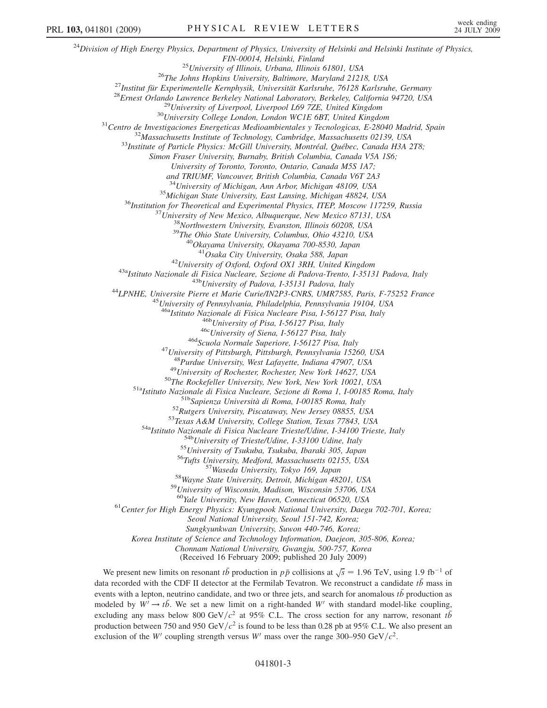$^{24}$ Division of High Energy Physics, Department of Physics, University of Helsinki and Helsinki Institute of Physics, FIN-00014, Helsinki, Finland<br><sup>25</sup>University of Illinois, Urbana, Illinois 61801, USA<br><sup>26</sup>The Johns Hopkins University, Baltimore, Maryland 21218, USA<br><sup>27</sup>Institut für Experimentelle Kernphysik, Universität Karlsruhe, 76128 Simon Fraser University, Burnaby, British Columbia, Canada V5A 1S6; University of Toronto, Toronto, Ontario, Canada M5S 1A7; and TRIUMF, Vancouver, British Columbia, Canada V6T 2A3 <sup>34</sup>University of Michigan, Ann Arbor, Michigan 48109, USA<br><sup>35</sup>Michigan State University, East Lansing, Michigan 48824, USA<br><sup>36</sup>Institution for Theoretical and Experimental Physics, ITEP, Moscow 117259, Russia<br><sup>37</sup>Univers <sup>42</sup>University of Oxford, Oxford OX1 3RH, United Kingdom<br><sup>43a</sup>Istituto Nazionale di Fisica Nucleare, Sezione di Padova-Trento, I-35131 Padova, Italy<br><sup>43b</sup>University of Padova, I-35131 Padova, Italy<br><sup>44</sup>LPNHE, Universite P <sup>46a</sup>Istituto Nazionale di Fisica Nucleare Pisa, I-56127 Pisa, Italy<br><sup>466</sup>University of Pisa, I-56127 Pisa, Italy<br><sup>466</sup>University of Siena, I-56127 Pisa, Italy<br><sup>46d</sup>Scuola Normale Superiore, I-56127 Pisa, Italy<br><sup>47</sup>Univers <sup>48</sup>Purdue University, West Lafayette, Indiana 47907, USA<br><sup>49</sup>University of Rochester, Rochester, New York 14627, USA<br><sup>50</sup>The Rockefeller University, New York, New York 10021, USA<br><sup>51</sup>Alstituto Nazionale di Fisica Nuclear <sup>59</sup>University of Wisconsin, Madison, Wisconsin 53706, USA<br><sup>60</sup>Yale University, New Haven, Connecticut 06520, USA<br><sup>61</sup>Center for High Energy Physics: Kyungpook National University, Daegu 702-701, Korea; Seoul National University, Seoul 151-742, Korea; Sungkyunkwan University, Suwon 440-746, Korea; Korea Institute of Science and Technology Information, Daejeon, 305-806, Korea; Chonnam National University, Gwangju, 500-757, Korea (Received 16 February 2009; published 20 July 2009)

We present new limits on resonant  $t\bar{b}$  production in  $p\bar{p}$  collisions at  $\sqrt{s} = 1.96$  TeV, using 1.9 fb<sup>-1</sup> of data recorded with the CDF II detector at the Fermilab Tevatron. We reconstruct a candidate  $t\bar{b}$  mass in events with a lepton neutrino candidate and two or three jets, and search for anomalous  $t\bar{b}$  production as events with a lepton, neutrino candidate, and two or three jets, and search for anomalous  $t\bar{b}$  production as modeled by  $W' \rightarrow t\bar{b}$ . We set a new limit on a right-handed W' with standard model-like coupling, excluding any mass below 800 GeV/ $c^2$  at 95% C.L. The cross section for any narrow, resonant  $t\bar{b}$ production between 750 and 950 GeV/ $c^2$  is found to be less than 0.28 pb at 95% C.L. We also present an exclusion of the W' coupling strength versus W' mass over the range 300–950 GeV/ $c^2$ .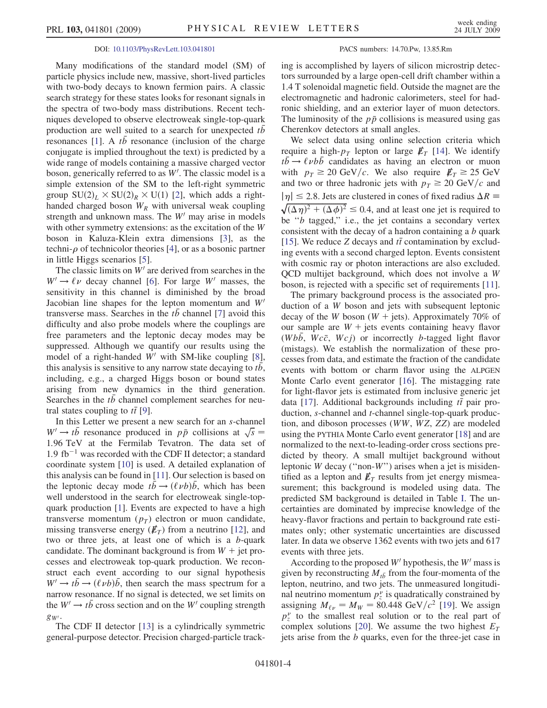#### DOI: [10.1103/PhysRevLett.103.041801](http://dx.doi.org/10.1103/PhysRevLett.103.041801) PACS numbers: 14.70.Pw, 13.85.Rm

Many modifications of the standard model (SM) of particle physics include new, massive, short-lived particles with two-body decays to known fermion pairs. A classic search strategy for these states looks for resonant signals in the spectra of two-body mass distributions. Recent techniques developed to observe electroweak single-top-quark production are well suited to a search for unexpected tb resonances [[1\]](#page-9-26). A tb resonance (inclusion of the charge conjugate is implied throughout the text) is predicted by a wide range of models containing a massive charged vector boson, generically referred to as  $W'$ . The classic model is a simple extension of the SM to the left-right symmetric simple extension of the SM to the left-right symmetric group  $SU(2)_L \times SU(2)_R \times U(1)$  [\[2](#page-9-27)], which adds a right-<br>handed charged boson W, with universal weak counting handed charged boson  $W_R$  with universal weak coupling strength and unknown mass. The  $W'$  may arise in models with other symmetry extensions: as the excitation of the W boson in Kaluza-Klein extra dimensions [[3\]](#page-9-28), as the techni- $\rho$  of technicolor theories [[4\]](#page-9-29), or as a bosonic partner in little Higgs scenarios [\[5](#page-9-30)].

The classic limits on  $W'$  are derived from searches in the  $W' \rightarrow \ell \nu$  decay channel [\[6\]](#page-9-31). For large W' masses, the sensitivity in this channel is diminished by the broad sensitivity in this channel is diminished by the broad Jacobian line shapes for the lepton momentum and  $W'$ transverse mass. Searches in the  $t\bar{b}$  channel [[7\]](#page-9-32) avoid this difficulty and also probe models where the couplings are free parameters and the leptonic decay modes may be suppressed. Although we quantify our results using the model of a right-handed  $W'$  with SM-like coupling [[8\]](#page-9-33), this analysis is sensitive to any narrow state decaying to tb, including, e.g., a charged Higgs boson or bound states arising from new dynamics in the third generation. Searches in the tb channel complement searches for neutral states coupling to  $t\bar{t}$  [[9\]](#page-9-34).<br>In this Letter we present

In this Letter we present a new search for an s-channel  $W' \rightarrow t\bar{b}$  resonance produced in  $p\bar{p}$  collisions at  $\sqrt{s}$  = 1.96 TeV at the Fermilah Tevatron. The data set of 1.96 TeV at the Fermilab Tevatron. The data set of<br>
1.9 fb<sup>-1</sup> was recorded with the CDF II detector: a standard 1.9 fb<sup>-1</sup> was recorded with the CDF II detector; a standard coordinate system [[10](#page-9-35)] is used. A detailed explanation of this analysis can be found in [[11](#page-9-36)]. Our selection is based on the leptonic decay mode  $t\bar{b} \rightarrow (\ell \nu b)\bar{b}$ , which has been<br>well understood in the search for electroweak single-tonwell understood in the search for electroweak single-topquark production [[1\]](#page-9-26). Events are expected to have a high transverse momentum  $(p_T)$  electron or muon candidate, missing transverse energy ( $\not\hspace{-.15cm}/_{T}$ ) from a neutrino [[12](#page-9-37)], and two or three jets, at least one of which is a b-quark candidate. The dominant background is from  $W +$  jet processes and electroweak top-quark production. We reconstruct each event according to our signal hypothesis  $W' \rightarrow t\bar{b} \rightarrow (\ell \nu b)\bar{b}$ , then search the mass spectrum for a<br>narrow resonance. If no signal is detected, we set limits on narrow resonance. If no signal is detected, we set limits on the  $W' \rightarrow t\bar{b}$  cross section and on the W' coupling strength  $g_{W^\prime}.$ 

The CDF II detector [[13](#page-9-38)] is a cylindrically symmetric general-purpose detector. Precision charged-particle track-

ing is accomplished by layers of silicon microstrip detectors surrounded by a large open-cell drift chamber within a 1.4 T solenoidal magnetic field. Outside the magnet are the electromagnetic and hadronic calorimeters, steel for hadronic shielding, and an exterior layer of muon detectors. The luminosity of the  $p\bar{p}$  collisions is measured using gas Cherenkov detectors at small angles.

We select data using online selection criteria which require a high- $p<sub>T</sub>$  lepton or large  $\not\hspace{-.15cm}/_{T}$  [[14\]](#page-9-39). We identify  $t\bar{b} \rightarrow \ell \nu b \bar{b}$  candidates as having an electron or muon<br>with  $n_x \ge 20 \text{ GeV}/c$ . We also require  $F_x \ge 25 \text{ GeV}$ with  $p_T \geq 20 \text{ GeV}/c$ . We also require  $E_T \geq 25 \text{ GeV}$ and two or three hadronic jets with  $p_T \geq 20 \text{ GeV}/c$  and  $|\eta| \leq 2.8$ . Jets are clustered in cones of fixed radius  $\Delta R \equiv$  $|\eta| \le 2.8$ . Jets are clustered in cones of fixed radius  $\Delta R \equiv \sqrt{(\Delta \eta)^2 + (\Delta \phi)^2} \le 0.4$ , and at least one jet is required to be "b tagged" i.e. the jet contains a secondary vertex  $(\eta)^2 + (\Delta \phi)^2$ <br>'b tagged" be "b tagged," i.e., the jet contains a secondary vertex<br>consistent with the decay of a hadron containing a b quark consistent with the decay of a hadron containing a b quark [\[15\]](#page-9-40). We reduce Z decays and  $t\bar{t}$  contamination by exclud-<br>ing events with a second charged lepton. Events consistent ing events with a second charged lepton. Events consistent with cosmic ray or photon interactions are also excluded. QCD multijet background, which does not involve a W boson, is rejected with a specific set of requirements [[11\]](#page-9-36).

The primary background process is the associated production of a W boson and jets with subsequent leptonic decay of the W boson ( $W +$  jets). Approximately 70% of our sample are  $W +$  jets events containing heavy flavor (Wbb, Wcc, Wcj) or incorrectly b-tagged light flavor (mistags). We establish the normalization of these processes from data, and estimate the fraction of the candidate events with bottom or charm flavor using the ALPGEN Monte Carlo event generator [\[16\]](#page-9-41). The mistagging rate for light-flavor jets is estimated from inclusive generic jet data [\[17\]](#page-9-42). Additional backgrounds including  $t\bar{t}$  pair pro-<br>duction, s-channel and t-channel single-ton-quark producduction, s-channel and t-channel single-top-quark production, and diboson processes (WW, WZ, ZZ) are modeled using the PYTHIA Monte Carlo event generator [\[18\]](#page-9-43) and are normalized to the next-to-leading-order cross sections predicted by theory. A small multijet background without leptonic  $W$  decay ("non- $W$ ") arises when a jet is misidentified as a lepton and  $\not{\!\! E}_T$  results from jet energy mismeasurement; this background is modeled using data. The predicted SM background is detailed in Table [I.](#page-7-0) The uncertainties are dominated by imprecise knowledge of the heavy-flavor fractions and pertain to background rate estimates only; other systematic uncertainties are discussed later. In data we observe 1362 events with two jets and 617 events with three jets.

According to the proposed  $W'$  hypothesis, the  $W'$  mass is given by reconstructing  $M_{t\bar{b}}$  from the four-momenta of the lepton, neutrino, and two jets. The unmeasured longitudinal neutrino momentum  $p_z^{\nu}$  is quadratically constrained by<br>assigning  $M_{\nu} = M_{\nu} = 80.448 \text{ GeV}/c^2$  [19]. We assign assigning  $M_{\ell \nu} = M_W = 80.448 \text{ GeV}/c^2$  [\[19\]](#page-9-44). We assign<br> $n^{\nu}$  to the smallest real solution or to the real part of  $p_z$  to the smallest real solution of to the real part of<br>complex solutions [\[20\]](#page-9-45). We assume the two highest  $E_T$ <br>iets arise from the *h* quarks even for the three-jet case in  $\frac{y}{z}$  to the smallest real solution or to the real part of  $\frac{y}{z}$  represented to the real part of jets arise from the b quarks, even for the three-jet case in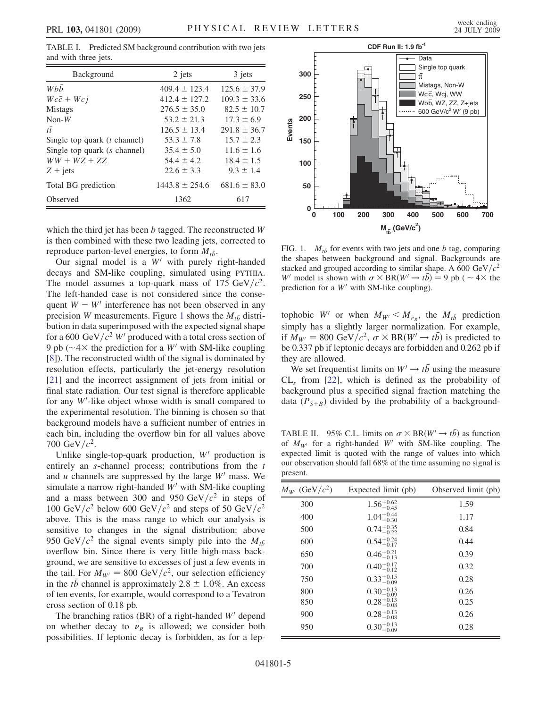<span id="page-7-0"></span>TABLE I. Predicted SM background contribution with two jets and with three jets.

| Background                     | 2 jets             | 3 jets           |
|--------------------------------|--------------------|------------------|
| Whh                            | $409.4 \pm 123.4$  | $125.6 \pm 37.9$ |
| $Wc\bar{c} + Wc\bar{j}$        | $412.4 \pm 127.2$  | $109.3 \pm 33.6$ |
| <b>Mistags</b>                 | $276.5 \pm 35.0$   | $82.5 \pm 10.7$  |
| $Non-W$                        | $53.2 \pm 21.3$    | $17.3 \pm 6.9$   |
| $t\bar{t}$                     | $126.5 + 13.4$     | $291.8 \pm 36.7$ |
| Single top quark $(t$ channel) | $53.3 \pm 7.8$     | $15.7 \pm 2.3$   |
| Single top quark (s channel)   | $35.4 \pm 5.0$     | $11.6 \pm 1.6$   |
| $WW + WZ + ZZ$                 | $54.4 \pm 4.2$     | $18.4 \pm 1.5$   |
| $Z + jets$                     | $22.6 \pm 3.3$     | $9.3 \pm 1.4$    |
| Total BG prediction            | $1443.8 \pm 254.6$ | $681.6 \pm 83.0$ |
| Observed                       | 1362               | 617              |

which the third jet has been  $b$  tagged. The reconstructed  $W$ is then combined with these two leading jets, corrected to reproduce parton-level energies, to form  $M_{t\bar{b}}$ .

Our signal model is a  $W'$  with purely right-handed decays and SM-like coupling, simulated using PYTHIA. The model assumes a top-quark mass of 175 GeV/ $c^2$ . The left-handed case is not considered since the consequent  $W - W'$  interference has not been observed in any precision W measurements. Figure [1](#page-7-1) shows the  $M_{t\bar{b}}$  distribution in data superimposed with the expected signal shape for a 600 GeV/ $c^2$  W' produced with a total cross section of 9 pb ( $\sim$  4 $\times$  the prediction for a W' with SM-like coupling (81). The reconstructed width of the signal is dominated by [\[8\]](#page-9-33)). The reconstructed width of the signal is dominated by resolution effects, particularly the jet-energy resolution [\[21\]](#page-9-46) and the incorrect assignment of jets from initial or final state radiation. Our test signal is therefore applicable for any  $W$ -like object whose width is small compared to the experimental resolution. The binning is chosen so that the experimental resolution. The binning is chosen so that background models have a sufficient number of entries in each bin, including the overflow bin for all values above 700 GeV/ $c^2$ .

Unlike single-top-quark production,  $W'$  production is entirely an *s*-channel process; contributions from the *t* and  $u$  channels are suppressed by the large  $W'$  mass. We simulate a narrow right-handed  $W'$  with SM-like coupling and a mass between 300 and 950 GeV/ $c^2$  in steps of 100 GeV/ $c^2$  below 600 GeV/ $c^2$  and steps of 50 GeV/ $c^2$ above. This is the mass range to which our analysis is sensitive to changes in the signal distribution: above 950 GeV/ $c^2$  the signal events simply pile into the  $M_{t\bar{b}}$ overflow bin. Since there is very little high-mass background, we are sensitive to excesses of just a few events in the tail. For  $M_{W'} = 800 \text{ GeV}/c^2$ , our selection efficiency in the *tb* channel is approximately  $2.8 \pm 1.0\%$ . An excess of ten events, for example, would correspond to a Tevatron cross section of 0.18 pb.

The branching ratios (BR) of a right-handed  $W'$  depend on whether decay to  $\nu_R$  is allowed; we consider both possibilities If leptonic decay is forbidden as for a leppossibilities. If leptonic decay is forbidden, as for a lep-

<span id="page-7-1"></span>

FIG. 1.  $M_{t\bar{b}}$  for events with two jets and one b tag, comparing the shapes between background and signal. Backgrounds are stacked and grouped according to similar shape. A 600 GeV/ $c^2$ W' model is shown with  $\sigma \times BR(W' \to t\bar{b}) = 9$  pb (  $\sim 4 \times$  the prediction for a W' with SM-like coupling) prediction for a  $W'$  with SM-like coupling).

tophobic W<sup>t</sup> or when  $M_{W'} < M_{\nu_R}$ , the  $M_{t\bar{b}}$  prediction<br>simply has a slightly larger pormalization. For example simply has a slightly larger normalization. For example, if  $M_{W'} = 800 \text{ GeV}/c^2$ ,  $\sigma \times \text{BR}(W' \rightarrow t\bar{b})$  is predicted to<br>be 0.337 pb if leptonic decays are forbidden and 0.262 pb if be 0.337 pb if leptonic decays are forbidden and 0.262 pb if they are allowed.

We set frequentist limits on  $W' \rightarrow t\bar{b}$  using the measure  $CL<sub>s</sub>$  from [[22](#page-9-47)], which is defined as the probability of background plus a specified signal fraction matching the data ( $P_{S+B}$ ) divided by the probability of a background-

<span id="page-7-2"></span>TABLE II. 95% C.L. limits on  $\sigma \times BR(W' \to t\bar{b})$  as function<br>of  $M_{\text{tot}}$  for a right-handed  $W'$  with SM-like coupling. The of  $M_{W'}$  for a right-handed W' with SM-like coupling. The expected limit is quoted with the range of values into which our observation should fall 68% of the time assuming no signal is present.

| $M_{W'}$ (GeV/ $c^2$ ) | Expected limit (pb)    | Observed limit (pb) |
|------------------------|------------------------|---------------------|
| 300                    | $1.56^{+0.62}_{-0.45}$ | 1.59                |
| 400                    | $1.04_{-0.30}^{+0.44}$ | 1.17                |
| 500                    | $0.74^{+0.35}_{-0.22}$ | 0.84                |
| 600                    | $0.54^{+0.24}_{-0.17}$ | 0.44                |
| 650                    | $0.46^{+0.21}_{-0.13}$ | 0.39                |
| 700                    | $0.40^{+0.17}_{-0.12}$ | 0.32                |
| 750                    | $0.33_{-0.09}^{+0.15}$ | 0.28                |
| 800                    | $0.30_{-0.09}^{+0.13}$ | 0.26                |
| 850                    | $0.28_{-0.08}^{+0.13}$ | 0.25                |
| 900                    | $0.28_{-0.08}^{+0.13}$ | 0.26                |
| 950                    | $0.30_{-0.09}^{+0.13}$ | 0.28                |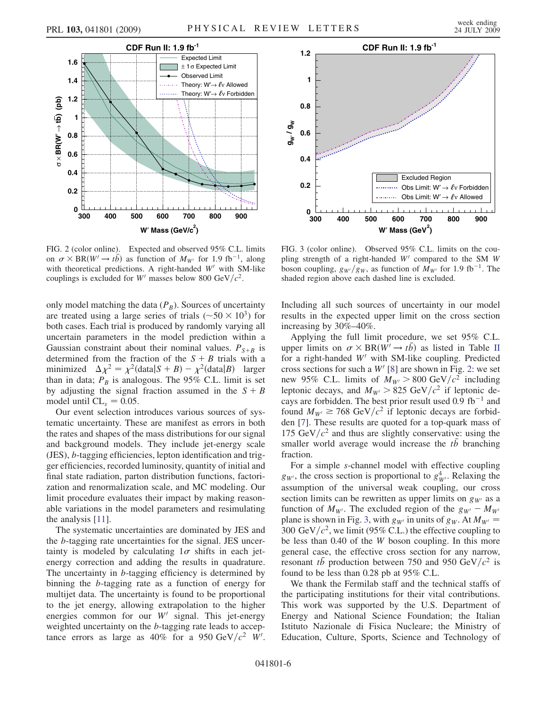<span id="page-8-0"></span>

FIG. 2 (color online). Expected and observed 95% C.L. limits on  $\sigma \times BR(W' \to t\bar{b})$  as function of  $M_{W'}$  for 1.9 fb<sup>-1</sup>, along<br>with theoretical predictions. A right-handed W' with SM-like with theoretical predictions. A right-handed  $W'$  with SM-like couplings is excluded for W' masses below 800 GeV/ $c^2$ .

only model matching the data  $(P_B)$ . Sources of uncertainty are treated using a large series of trials ( $\sim 50 \times 10^3$ ) for both cases. Each trial is produced by randomly varying all uncertain parameters in the model prediction within a Gaussian constraint about their nominal values.  $P_{S+B}$  is determined from the fraction of the  $S + B$  trials with a minimized  $\Delta \chi^2 = \chi^2 (data | S + B) - \chi^2 (data | B)$  larger<br>than in data:  $P_B$  is analogous. The 95% CT limit is set than in data;  $P_B$  is analogous. The 95% C.L. limit is set by adjusting the signal fraction assumed in the  $S + B$ model until  $CL_s = 0.05$ .

Our event selection introduces various sources of systematic uncertainty. These are manifest as errors in both the rates and shapes of the mass distributions for our signal and background models. They include jet-energy scale (JES), b-tagging efficiencies, lepton identification and trigger efficiencies, recorded luminosity, quantity of initial and final state radiation, parton distribution functions, factorization and renormalization scale, and MC modeling. Our limit procedure evaluates their impact by making reasonable variations in the model parameters and resimulating the analysis [\[11\]](#page-9-36).

The systematic uncertainties are dominated by JES and the b-tagging rate uncertainties for the signal. JES uncertainty is modeled by calculating  $1\sigma$  shifts in each jetenergy correction and adding the results in quadrature. The uncertainty in b-tagging efficiency is determined by binning the b-tagging rate as a function of energy for multijet data. The uncertainty is found to be proportional to the jet energy, allowing extrapolation to the higher energies common for our  $W'$  signal. This jet-energy weighted uncertainty on the *b*-tagging rate leads to acceptance errors as large as  $40\%$  for a  $950 \text{ GeV}/c^2$  W'.

<span id="page-8-1"></span>

FIG. 3 (color online). Observed 95% C.L. limits on the coupling strength of a right-handed  $W'$  compared to the SM  $W$ boson coupling,  $g_{W}/g_W$ , as function of  $M_{W}$  for 1.9 fb<sup>-1</sup>. The shaded region above each dashed line is excluded.

Including all such sources of uncertainty in our model results in the expected upper limit on the cross section increasing by 30%–40%.

Applying the full limit procedure, we set 95% C.L. upper limits on  $\sigma \times BR(W' \rightarrow t\bar{b})$  as listed in Table [II](#page-7-2)<br>for a right-handed W' with SM-like coupling. Predicted for a right-handed  $W'$  with SM-like coupling. Predicted cross sections for such a  $W'$  [\[8](#page-9-33)] are shown in Fig. [2](#page-8-0): we set new 95% C.L. limits of  $M_{W} > 800 \text{ GeV}/c^2$  including leptonic decays, and  $M_{W} > 825$  GeV/ $c^2$  if leptonic decays are forbidden. The best prior result used 0.9 fb<sup>-1</sup> and found  $M_{W'} \ge 768$  GeV/ $c^2$  if leptonic decays are forbidden [\[7](#page-9-32)]. These results are quoted for a top-quark mass of 175 GeV/ $c^2$  and thus are slightly conservative: using the smaller world average would increase the tb branching fraction.

For a simple s-channel model with effective coupling  $g_{W'}$ , the cross section is proportional to  $g_{W'}^4$ . Relaxing the assumption of the universal weak coupling our cross assumption of the universal weak coupling, our cross section limits can be rewritten as upper limits on  $g_{W}$  as a function of  $M_{W'}$ . The excluded region of the  $g_{W'} - M_{W'}$ plane is shown in Fig. [3,](#page-8-1) with  $g_{W'}$  in units of  $g_W$ . At  $M_{W'}$  = 300 GeV/ $c^2$ , we limit (95% C.L.) the effective coupling to be less than 0.40 of the W boson coupling. In this more general case, the effective cross section for any narrow, resonant the production between 750 and 950 GeV/ $c^2$  is found to be less than 0.28 pb at 95% C.L.

We thank the Fermilab staff and the technical staffs of the participating institutions for their vital contributions. This work was supported by the U.S. Department of Energy and National Science Foundation; the Italian Istituto Nazionale di Fisica Nucleare; the Ministry of Education, Culture, Sports, Science and Technology of